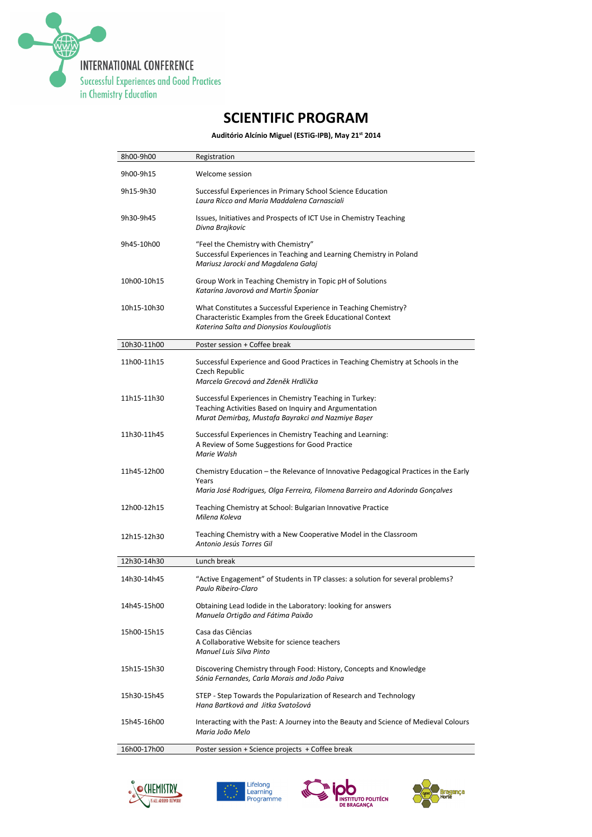

## SCIENTIFIC PROGRAM

Auditório Alcínio Miguel (ESTiG-IPB), May 21st 2014

| 8h00-9h00   | Registration                                                                                                                                                                   |
|-------------|--------------------------------------------------------------------------------------------------------------------------------------------------------------------------------|
| 9h00-9h15   | Welcome session                                                                                                                                                                |
| 9h15-9h30   | Successful Experiences in Primary School Science Education<br>Laura Ricco and Maria Maddalena Carnasciali                                                                      |
| 9h30-9h45   | Issues, Initiatives and Prospects of ICT Use in Chemistry Teaching<br>Divna Brajkovic                                                                                          |
| 9h45-10h00  | "Feel the Chemistry with Chemistry"<br>Successful Experiences in Teaching and Learning Chemistry in Poland<br>Mariusz Jarocki and Magdalena Gałaj                              |
| 10h00-10h15 | Group Work in Teaching Chemistry in Topic pH of Solutions<br>Katarína Javorová and Martin Šponiar                                                                              |
| 10h15-10h30 | What Constitutes a Successful Experience in Teaching Chemistry?<br>Characteristic Examples from the Greek Educational Context<br>Katerina Salta and Dionysios Koulougliotis    |
| 10h30-11h00 | Poster session + Coffee break                                                                                                                                                  |
| 11h00-11h15 | Successful Experience and Good Practices in Teaching Chemistry at Schools in the<br>Czech Republic<br>Marcela Grecová and Zdeněk Hrdlička                                      |
| 11h15-11h30 | Successful Experiences in Chemistry Teaching in Turkey:<br>Teaching Activities Based on Inquiry and Argumentation<br>Murat Demirbaş, Mustafa Bayrakci and Nazmiye Başer        |
| 11h30-11h45 | Successful Experiences in Chemistry Teaching and Learning:<br>A Review of Some Suggestions for Good Practice<br>Marie Walsh                                                    |
| 11h45-12h00 | Chemistry Education – the Relevance of Innovative Pedagogical Practices in the Early<br>Years<br>Maria José Rodrigues, Olga Ferreira, Filomena Barreiro and Adorinda Gonçalves |
| 12h00-12h15 | Teaching Chemistry at School: Bulgarian Innovative Practice<br>Milena Koleva                                                                                                   |
| 12h15-12h30 | Teaching Chemistry with a New Cooperative Model in the Classroom<br>Antonio Jesús Torres Gil                                                                                   |
| 12h30-14h30 | Lunch break                                                                                                                                                                    |
| 14h30-14h45 | "Active Engagement" of Students in TP classes: a solution for several problems?<br>Paulo Ribeiro-Claro                                                                         |
| 14h45-15h00 | Obtaining Lead Iodide in the Laboratory: looking for answers<br>Manuela Ortigão and Fátima Paixão                                                                              |
| 15h00-15h15 | Casa das Ciências<br>A Collaborative Website for science teachers<br>Manuel Luis Silva Pinto                                                                                   |
| 15h15-15h30 | Discovering Chemistry through Food: History, Concepts and Knowledge<br>Sónia Fernandes, Carla Morais and João Paiva                                                            |
| 15h30-15h45 | STEP - Step Towards the Popularization of Research and Technology<br>Hana Bartková and Jitka Svatošová                                                                         |
| 15h45-16h00 | Interacting with the Past: A Journey into the Beauty and Science of Medieval Colours<br>Maria João Melo                                                                        |
| 16h00-17h00 | Poster session + Science projects + Coffee break                                                                                                                               |